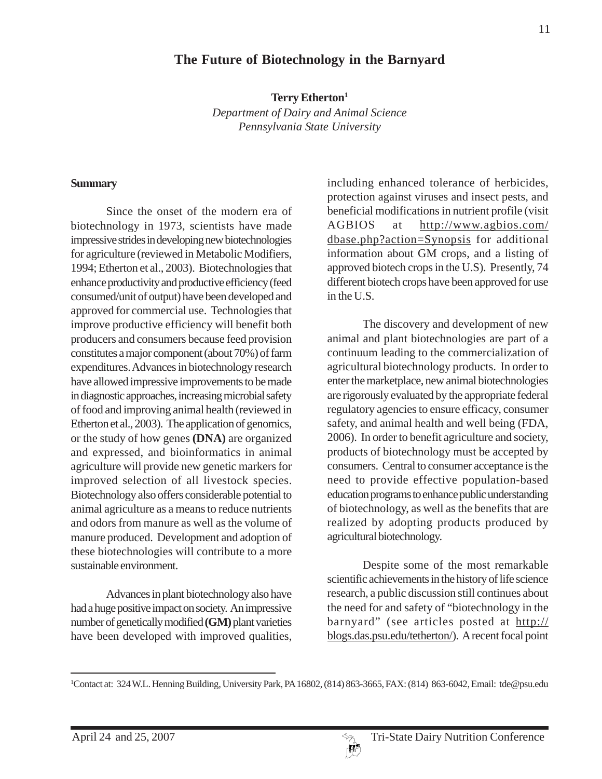# **The Future of Biotechnology in the Barnyard**

**Terry Etherton1**

*Department of Dairy and Animal Science Pennsylvania State University*

#### **Summary**

Since the onset of the modern era of biotechnology in 1973, scientists have made impressive strides in developing new biotechnologies for agriculture (reviewed in Metabolic Modifiers, 1994; Etherton et al., 2003). Biotechnologies that enhance productivity and productive efficiency (feed consumed/unit of output) have been developed and approved for commercial use. Technologies that improve productive efficiency will benefit both producers and consumers because feed provision constitutes a major component (about 70%) of farm expenditures. Advances in biotechnology research have allowed impressive improvements to be made in diagnostic approaches, increasing microbial safety of food and improving animal health (reviewed in Etherton et al., 2003). The application of genomics, or the study of how genes **(DNA)** are organized and expressed, and bioinformatics in animal agriculture will provide new genetic markers for improved selection of all livestock species. Biotechnology also offers considerable potential to animal agriculture as a means to reduce nutrients and odors from manure as well as the volume of manure produced. Development and adoption of these biotechnologies will contribute to a more sustainable environment.

Advances in plant biotechnology also have had a huge positive impact on society. An impressive number of genetically modified **(GM)** plant varieties have been developed with improved qualities,

including enhanced tolerance of herbicides, protection against viruses and insect pests, and beneficial modifications in nutrient profile (visit AGBIOS at http://www.agbios.com/ dbase.php?action=Synopsis for additional information about GM crops, and a listing of approved biotech crops in the U.S). Presently, 74 different biotech crops have been approved for use in the U.S.

The discovery and development of new animal and plant biotechnologies are part of a continuum leading to the commercialization of agricultural biotechnology products. In order to enter the marketplace, new animal biotechnologies are rigorously evaluated by the appropriate federal regulatory agencies to ensure efficacy, consumer safety, and animal health and well being (FDA, 2006). In order to benefit agriculture and society, products of biotechnology must be accepted by consumers. Central to consumer acceptance is the need to provide effective population-based education programs to enhance public understanding of biotechnology, as well as the benefits that are realized by adopting products produced by agricultural biotechnology.

Despite some of the most remarkable scientific achievements in the history of life science research, a public discussion still continues about the need for and safety of "biotechnology in the barnyard" (see articles posted at http:// blogs.das.psu.edu/tetherton/). A recent focal point

<sup>1</sup> Contact at: 324 W.L. Henning Building, University Park, PA 16802, (814) 863-3665, FAX: (814) 863-6042, Email: tde@psu.edu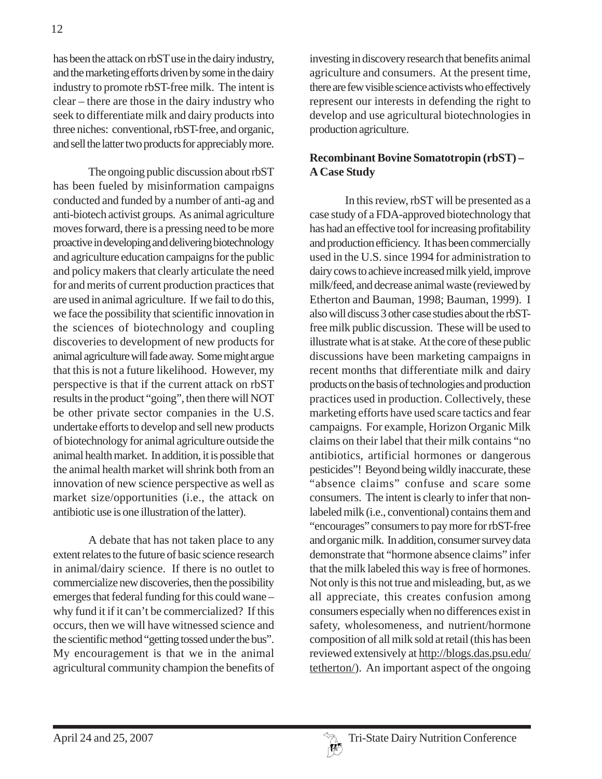has been the attack on rbST use in the dairy industry, and the marketing efforts driven by some in the dairy industry to promote rbST-free milk. The intent is clear – there are those in the dairy industry who seek to differentiate milk and dairy products into three niches: conventional, rbST-free, and organic, and sell the latter two products for appreciably more.

The ongoing public discussion about rbST has been fueled by misinformation campaigns conducted and funded by a number of anti-ag and anti-biotech activist groups. As animal agriculture moves forward, there is a pressing need to be more proactive in developing and delivering biotechnology and agriculture education campaigns for the public and policy makers that clearly articulate the need for and merits of current production practices that are used in animal agriculture. If we fail to do this, we face the possibility that scientific innovation in the sciences of biotechnology and coupling discoveries to development of new products for animal agriculture will fade away. Some might argue that this is not a future likelihood. However, my perspective is that if the current attack on rbST results in the product "going", then there will NOT be other private sector companies in the U.S. undertake efforts to develop and sell new products of biotechnology for animal agriculture outside the animal health market. In addition, it is possible that the animal health market will shrink both from an innovation of new science perspective as well as market size/opportunities (i.e., the attack on antibiotic use is one illustration of the latter).

A debate that has not taken place to any extent relates to the future of basic science research in animal/dairy science. If there is no outlet to commercialize new discoveries, then the possibility emerges that federal funding for this could wane – why fund it if it can't be commercialized? If this occurs, then we will have witnessed science and the scientific method "getting tossed under the bus". My encouragement is that we in the animal agricultural community champion the benefits of investing in discovery research that benefits animal agriculture and consumers. At the present time, there are few visible science activists who effectively represent our interests in defending the right to develop and use agricultural biotechnologies in production agriculture.

### **Recombinant Bovine Somatotropin (rbST) – A Case Study**

In this review, rbST will be presented as a case study of a FDA-approved biotechnology that has had an effective tool for increasing profitability and production efficiency. It has been commercially used in the U.S. since 1994 for administration to dairy cows to achieve increased milk yield, improve milk/feed, and decrease animal waste (reviewed by Etherton and Bauman, 1998; Bauman, 1999). I also will discuss 3 other case studies about the rbSTfree milk public discussion. These will be used to illustrate what is at stake. At the core of these public discussions have been marketing campaigns in recent months that differentiate milk and dairy products on the basis of technologies and production practices used in production. Collectively, these marketing efforts have used scare tactics and fear campaigns. For example, Horizon Organic Milk claims on their label that their milk contains "no antibiotics, artificial hormones or dangerous pesticides"! Beyond being wildly inaccurate, these "absence claims" confuse and scare some consumers. The intent is clearly to infer that nonlabeled milk (i.e., conventional) contains them and "encourages" consumers to pay more for rbST-free and organic milk. In addition, consumer survey data demonstrate that "hormone absence claims" infer that the milk labeled this way is free of hormones. Not only is this not true and misleading, but, as we all appreciate, this creates confusion among consumers especially when no differences exist in safety, wholesomeness, and nutrient/hormone composition of all milk sold at retail (this has been reviewed extensively at http://blogs.das.psu.edu/ tetherton/). An important aspect of the ongoing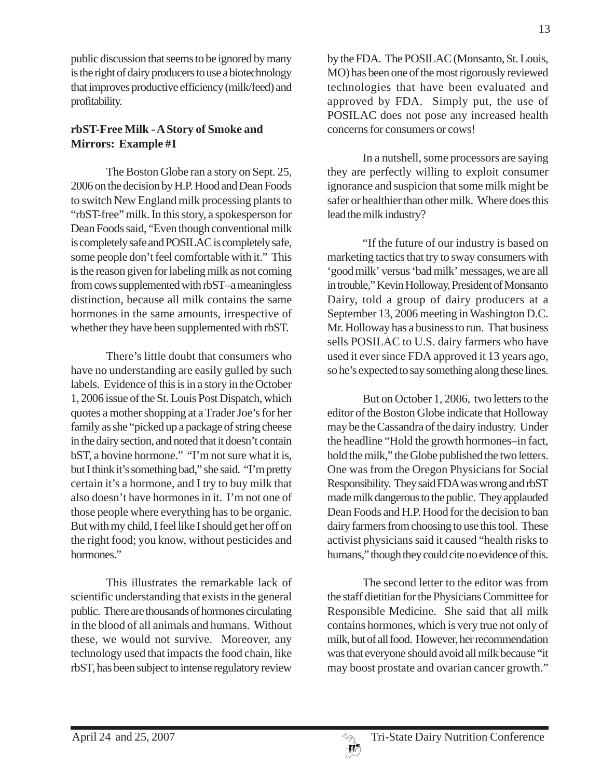public discussion that seems to be ignored by many is the right of dairy producers to use a biotechnology that improves productive efficiency (milk/feed) and profitability.

# **rbST-Free Milk - A Story of Smoke and Mirrors: Example #1**

The Boston Globe ran a story on Sept. 25, 2006 on the decision by H.P. Hood and Dean Foods to switch New England milk processing plants to "rbST-free" milk. In this story, a spokesperson for Dean Foods said, "Even though conventional milk is completely safe and POSILAC is completely safe, some people don't feel comfortable with it." This is the reason given for labeling milk as not coming from cows supplemented with rbST–a meaningless distinction, because all milk contains the same hormones in the same amounts, irrespective of whether they have been supplemented with rbST.

There's little doubt that consumers who have no understanding are easily gulled by such labels. Evidence of this is in a story in the October 1, 2006 issue of the St. Louis Post Dispatch, which quotes a mother shopping at a Trader Joe's for her family as she "picked up a package of string cheese in the dairy section, and noted that it doesn't contain bST, a bovine hormone." "I'm not sure what it is, but I think it's something bad," she said. "I'm pretty certain it's a hormone, and I try to buy milk that also doesn't have hormones in it. I'm not one of those people where everything has to be organic. But with my child, I feel like I should get her off on the right food; you know, without pesticides and hormones."

This illustrates the remarkable lack of scientific understanding that exists in the general public. There are thousands of hormones circulating in the blood of all animals and humans. Without these, we would not survive. Moreover, any technology used that impacts the food chain, like rbST, has been subject to intense regulatory review

by the FDA. The POSILAC (Monsanto, St. Louis, MO) has been one of the most rigorously reviewed technologies that have been evaluated and approved by FDA. Simply put, the use of POSILAC does not pose any increased health concerns for consumers or cows!

In a nutshell, some processors are saying they are perfectly willing to exploit consumer ignorance and suspicion that some milk might be safer or healthier than other milk. Where does this lead the milk industry?

"If the future of our industry is based on marketing tactics that try to sway consumers with 'good milk' versus 'bad milk' messages, we are all in trouble," Kevin Holloway, President of Monsanto Dairy, told a group of dairy producers at a September 13, 2006 meeting in Washington D.C. Mr. Holloway has a business to run. That business sells POSILAC to U.S. dairy farmers who have used it ever since FDA approved it 13 years ago, so he's expected to say something along these lines.

But on October 1, 2006, two letters to the editor of the Boston Globe indicate that Holloway may be the Cassandra of the dairy industry. Under the headline "Hold the growth hormones–in fact, hold the milk," the Globe published the two letters. One was from the Oregon Physicians for Social Responsibility. They said FDA was wrong and rbST made milk dangerous to the public. They applauded Dean Foods and H.P. Hood for the decision to ban dairy farmers from choosing to use this tool. These activist physicians said it caused "health risks to humans," though they could cite no evidence of this.

The second letter to the editor was from the staff dietitian for the Physicians Committee for Responsible Medicine. She said that all milk contains hormones, which is very true not only of milk, but of all food. However, her recommendation was that everyone should avoid all milk because "it may boost prostate and ovarian cancer growth."

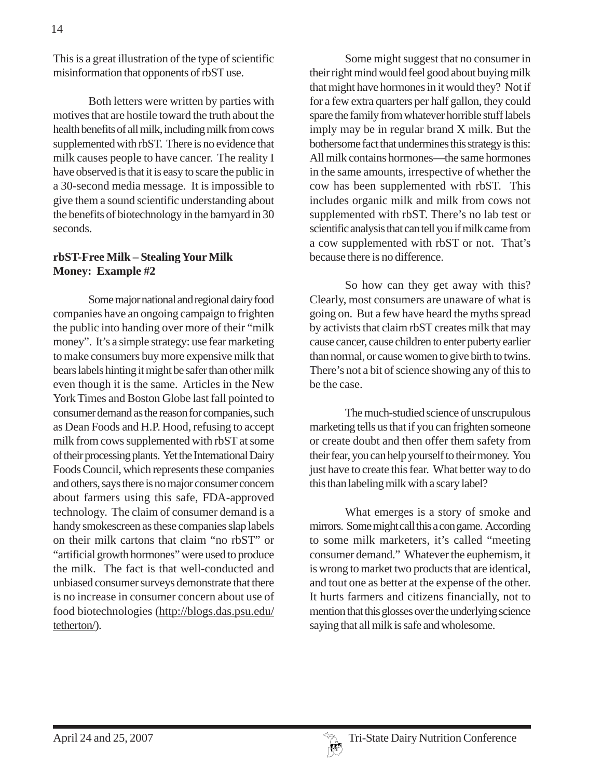This is a great illustration of the type of scientific misinformation that opponents of rbST use.

Both letters were written by parties with motives that are hostile toward the truth about the health benefits of all milk, including milk from cows supplemented with rbST. There is no evidence that milk causes people to have cancer. The reality I have observed is that it is easy to scare the public in a 30-second media message. It is impossible to give them a sound scientific understanding about the benefits of biotechnology in the barnyard in 30 seconds.

### **rbST-Free Milk – Stealing Your Milk Money: Example #2**

Some major national and regional dairy food companies have an ongoing campaign to frighten the public into handing over more of their "milk money". It's a simple strategy: use fear marketing to make consumers buy more expensive milk that bears labels hinting it might be safer than other milk even though it is the same. Articles in the New York Times and Boston Globe last fall pointed to consumer demand as the reason for companies, such as Dean Foods and H.P. Hood, refusing to accept milk from cows supplemented with rbST at some of their processing plants. Yet the International Dairy Foods Council, which represents these companies and others, says there is no major consumer concern about farmers using this safe, FDA-approved technology. The claim of consumer demand is a handy smokescreen as these companies slap labels on their milk cartons that claim "no rbST" or "artificial growth hormones" were used to produce the milk. The fact is that well-conducted and unbiased consumer surveys demonstrate that there is no increase in consumer concern about use of food biotechnologies (http://blogs.das.psu.edu/ tetherton/).

Some might suggest that no consumer in their right mind would feel good about buying milk that might have hormones in it would they? Not if for a few extra quarters per half gallon, they could spare the family from whatever horrible stuff labels imply may be in regular brand X milk. But the bothersome fact that undermines this strategy is this: All milk contains hormones—the same hormones in the same amounts, irrespective of whether the cow has been supplemented with rbST. This includes organic milk and milk from cows not supplemented with rbST. There's no lab test or scientific analysis that can tell you if milk came from a cow supplemented with rbST or not. That's because there is no difference.

So how can they get away with this? Clearly, most consumers are unaware of what is going on. But a few have heard the myths spread by activists that claim rbST creates milk that may cause cancer, cause children to enter puberty earlier than normal, or cause women to give birth to twins. There's not a bit of science showing any of this to be the case.

The much-studied science of unscrupulous marketing tells us that if you can frighten someone or create doubt and then offer them safety from their fear, you can help yourself to their money. You just have to create this fear. What better way to do this than labeling milk with a scary label?

What emerges is a story of smoke and mirrors. Some might call this a con game. According to some milk marketers, it's called "meeting consumer demand." Whatever the euphemism, it is wrong to market two products that are identical, and tout one as better at the expense of the other. It hurts farmers and citizens financially, not to mention that this glosses over the underlying science saying that all milk is safe and wholesome.

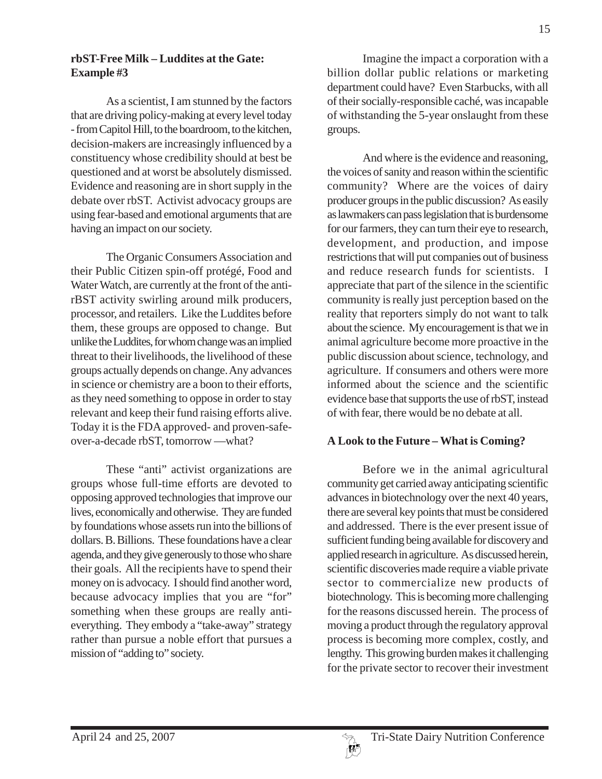#### **rbST-Free Milk – Luddites at the Gate: Example #3**

As a scientist, I am stunned by the factors that are driving policy-making at every level today - from Capitol Hill, to the boardroom, to the kitchen, decision-makers are increasingly influenced by a constituency whose credibility should at best be questioned and at worst be absolutely dismissed. Evidence and reasoning are in short supply in the debate over rbST. Activist advocacy groups are using fear-based and emotional arguments that are having an impact on our society.

The Organic Consumers Association and their Public Citizen spin-off protégé, Food and Water Watch, are currently at the front of the antirBST activity swirling around milk producers, processor, and retailers. Like the Luddites before them, these groups are opposed to change. But unlike the Luddites, for whom change was an implied threat to their livelihoods, the livelihood of these groups actually depends on change. Any advances in science or chemistry are a boon to their efforts, as they need something to oppose in order to stay relevant and keep their fund raising efforts alive. Today it is the FDA approved- and proven-safeover-a-decade rbST, tomorrow —what?

These "anti" activist organizations are groups whose full-time efforts are devoted to opposing approved technologies that improve our lives, economically and otherwise. They are funded by foundations whose assets run into the billions of dollars. B. Billions. These foundations have a clear agenda, and they give generously to those who share their goals. All the recipients have to spend their money on is advocacy. I should find another word, because advocacy implies that you are "for" something when these groups are really antieverything. They embody a "take-away" strategy rather than pursue a noble effort that pursues a mission of "adding to" society.

Imagine the impact a corporation with a billion dollar public relations or marketing department could have? Even Starbucks, with all of their socially-responsible caché, was incapable of withstanding the 5-year onslaught from these groups.

And where is the evidence and reasoning, the voices of sanity and reason within the scientific community? Where are the voices of dairy producer groups in the public discussion? As easily as lawmakers can pass legislation that is burdensome for our farmers, they can turn their eye to research, development, and production, and impose restrictions that will put companies out of business and reduce research funds for scientists. I appreciate that part of the silence in the scientific community is really just perception based on the reality that reporters simply do not want to talk about the science. My encouragement is that we in animal agriculture become more proactive in the public discussion about science, technology, and agriculture. If consumers and others were more informed about the science and the scientific evidence base that supports the use of rbST, instead of with fear, there would be no debate at all.

#### **A Look to the Future – What is Coming?**

Before we in the animal agricultural community get carried away anticipating scientific advances in biotechnology over the next 40 years, there are several key points that must be considered and addressed. There is the ever present issue of sufficient funding being available for discovery and applied research in agriculture. As discussed herein, scientific discoveries made require a viable private sector to commercialize new products of biotechnology. This is becoming more challenging for the reasons discussed herein. The process of moving a product through the regulatory approval process is becoming more complex, costly, and lengthy. This growing burden makes it challenging for the private sector to recover their investment